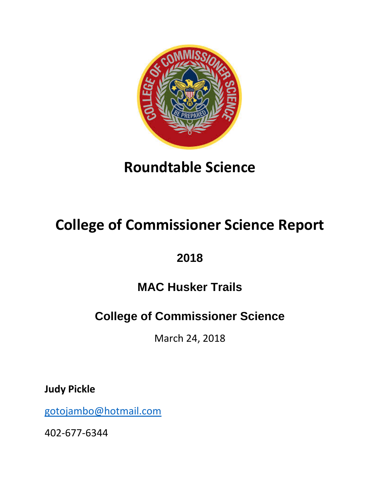

## **Roundtable Science**

# **College of Commissioner Science Report**

### **2018**

### **MAC Husker Trails**

### **College of Commissioner Science**

March 24, 2018

**Judy Pickle**

[gotojambo@hotmail.com](mailto:gotojambo@hotmail.com)

402-677-6344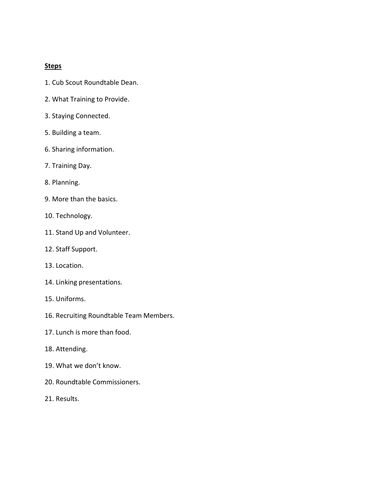#### **Steps**

- 1. Cub Scout Roundtable Dean.
- 2. What Training to Provide.
- 3. Staying Connected.
- 5. Building a team.
- 6. Sharing information.
- 7. Training Day.
- 8. Planning.
- 9. More than the basics.
- 10. Technology.
- 11. Stand Up and Volunteer.
- 12. Staff Support.
- 13. Location.
- 14. Linking presentations.
- 15. Uniforms.
- 16. Recruiting Roundtable Team Members.
- 17. Lunch is more than food.
- 18. Attending.
- 19. What we don't know.
- 20. Roundtable Commissioners.
- 21. Results.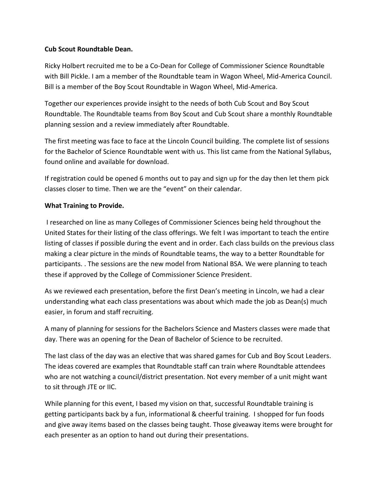#### **Cub Scout Roundtable Dean.**

Ricky Holbert recruited me to be a Co-Dean for College of Commissioner Science Roundtable with Bill Pickle. I am a member of the Roundtable team in Wagon Wheel, Mid-America Council. Bill is a member of the Boy Scout Roundtable in Wagon Wheel, Mid-America.

Together our experiences provide insight to the needs of both Cub Scout and Boy Scout Roundtable. The Roundtable teams from Boy Scout and Cub Scout share a monthly Roundtable planning session and a review immediately after Roundtable.

The first meeting was face to face at the Lincoln Council building. The complete list of sessions for the Bachelor of Science Roundtable went with us. This list came from the National Syllabus, found online and available for download.

If registration could be opened 6 months out to pay and sign up for the day then let them pick classes closer to time. Then we are the "event" on their calendar.

#### **What Training to Provide.**

I researched on line as many Colleges of Commissioner Sciences being held throughout the United States for their listing of the class offerings. We felt I was important to teach the entire listing of classes if possible during the event and in order. Each class builds on the previous class making a clear picture in the minds of Roundtable teams, the way to a better Roundtable for participants. . The sessions are the new model from National BSA. We were planning to teach these if approved by the College of Commissioner Science President.

As we reviewed each presentation, before the first Dean's meeting in Lincoln, we had a clear understanding what each class presentations was about which made the job as Dean(s) much easier, in forum and staff recruiting.

A many of planning for sessions for the Bachelors Science and Masters classes were made that day. There was an opening for the Dean of Bachelor of Science to be recruited.

The last class of the day was an elective that was shared games for Cub and Boy Scout Leaders. The ideas covered are examples that Roundtable staff can train where Roundtable attendees who are not watching a council/district presentation. Not every member of a unit might want to sit through JTE or IIC.

While planning for this event, I based my vision on that, successful Roundtable training is getting participants back by a fun, informational & cheerful training. I shopped for fun foods and give away items based on the classes being taught. Those giveaway items were brought for each presenter as an option to hand out during their presentations.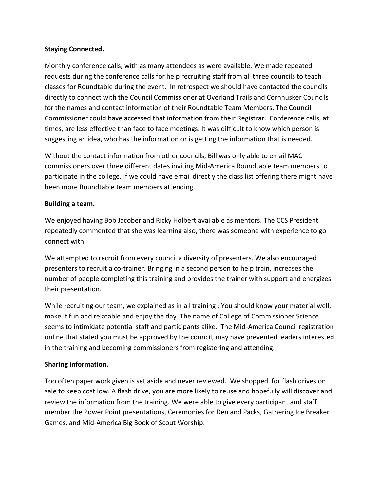#### **Staying Connected.**

Monthly conference calls, with as many attendees as were available. We made repeated requests during the conference calls for help recruiting staff from all three councils to teach classes for Roundtable during the event. In retrospect we should have contacted the councils directly to connect with the Council Commissioner at Overland Trails and Cornhusker Councils for the names and contact information of their Roundtable Team Members. The Council Commissioner could have accessed that information from their Registrar. Conference calls, at times, are less effective than face to face meetings. It was difficult to know which person is suggesting an idea, who has the information or is getting the information that is needed.

Without the contact information from other councils, Bill was only able to email MAC commissioners over three different dates inviting Mid-America Roundtable team members to participate in the college. If we could have email directly the class list offering there might have been more Roundtable team members attending.

#### **Building a team.**

We enjoyed having Bob Jacober and Ricky Holbert available as mentors. The CCS President repeatedly commented that she was learning also, there was someone with experience to go connect with.

We attempted to recruit from every council a diversity of presenters. We also encouraged presenters to recruit a co-trainer. Bringing in a second person to help train, increases the number of people completing this training and provides the trainer with support and energizes their presentation.

While recruiting our team, we explained as in all training : You should know your material well, make it fun and relatable and enjoy the day. The name of College of Commissioner Science seems to intimidate potential staff and participants alike. The Mid-America Council registration online that stated you must be approved by the council, may have prevented leaders interested in the training and becoming commissioners from registering and attending.

#### **Sharing information.**

Too often paper work given is set aside and never reviewed. We shopped for flash drives on sale to keep cost low. A flash drive, you are more likely to reuse and hopefully will discover and review the information from the training. We were able to give every participant and staff member the Power Point presentations, Ceremonies for Den and Packs, Gathering Ice Breaker Games, and Mid-America Big Book of Scout Worship.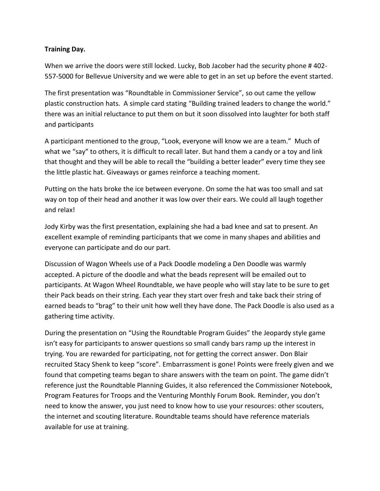#### **Training Day.**

When we arrive the doors were still locked. Lucky, Bob Jacober had the security phone #402-557-5000 for Bellevue University and we were able to get in an set up before the event started.

The first presentation was "Roundtable in Commissioner Service", so out came the yellow plastic construction hats. A simple card stating "Building trained leaders to change the world." there was an initial reluctance to put them on but it soon dissolved into laughter for both staff and participants

A participant mentioned to the group, "Look, everyone will know we are a team." Much of what we "say" to others, it is difficult to recall later. But hand them a candy or a toy and link that thought and they will be able to recall the "building a better leader" every time they see the little plastic hat. Giveaways or games reinforce a teaching moment.

Putting on the hats broke the ice between everyone. On some the hat was too small and sat way on top of their head and another it was low over their ears. We could all laugh together and relax!

Jody Kirby was the first presentation, explaining she had a bad knee and sat to present. An excellent example of reminding participants that we come in many shapes and abilities and everyone can participate and do our part.

Discussion of Wagon Wheels use of a Pack Doodle modeling a Den Doodle was warmly accepted. A picture of the doodle and what the beads represent will be emailed out to participants. At Wagon Wheel Roundtable, we have people who will stay late to be sure to get their Pack beads on their string. Each year they start over fresh and take back their string of earned beads to "brag" to their unit how well they have done. The Pack Doodle is also used as a gathering time activity.

During the presentation on "Using the Roundtable Program Guides" the Jeopardy style game isn't easy for participants to answer questions so small candy bars ramp up the interest in trying. You are rewarded for participating, not for getting the correct answer. Don Blair recruited Stacy Shenk to keep "score". Embarrassment is gone! Points were freely given and we found that competing teams began to share answers with the team on point. The game didn't reference just the Roundtable Planning Guides, it also referenced the Commissioner Notebook, Program Features for Troops and the Venturing Monthly Forum Book. Reminder, you don't need to know the answer, you just need to know how to use your resources: other scouters, the internet and scouting literature. Roundtable teams should have reference materials available for use at training.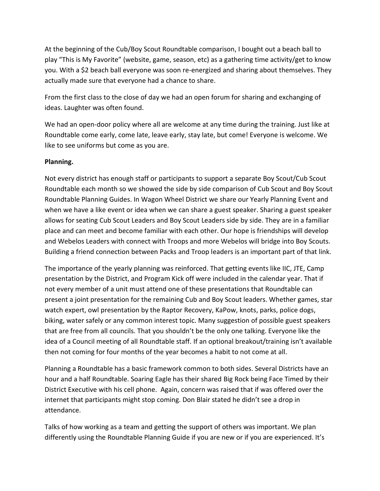At the beginning of the Cub/Boy Scout Roundtable comparison, I bought out a beach ball to play "This is My Favorite" (website, game, season, etc) as a gathering time activity/get to know you. With a \$2 beach ball everyone was soon re-energized and sharing about themselves. They actually made sure that everyone had a chance to share.

From the first class to the close of day we had an open forum for sharing and exchanging of ideas. Laughter was often found.

We had an open-door policy where all are welcome at any time during the training. Just like at Roundtable come early, come late, leave early, stay late, but come! Everyone is welcome. We like to see uniforms but come as you are.

#### **Planning.**

Not every district has enough staff or participants to support a separate Boy Scout/Cub Scout Roundtable each month so we showed the side by side comparison of Cub Scout and Boy Scout Roundtable Planning Guides. In Wagon Wheel District we share our Yearly Planning Event and when we have a like event or idea when we can share a guest speaker. Sharing a guest speaker allows for seating Cub Scout Leaders and Boy Scout Leaders side by side. They are in a familiar place and can meet and become familiar with each other. Our hope is friendships will develop and Webelos Leaders with connect with Troops and more Webelos will bridge into Boy Scouts. Building a friend connection between Packs and Troop leaders is an important part of that link.

The importance of the yearly planning was reinforced. That getting events like IIC, JTE, Camp presentation by the District, and Program Kick off were included in the calendar year. That if not every member of a unit must attend one of these presentations that Roundtable can present a joint presentation for the remaining Cub and Boy Scout leaders. Whether games, star watch expert, owl presentation by the Raptor Recovery, KaPow, knots, parks, police dogs, biking, water safely or any common interest topic. Many suggestion of possible guest speakers that are free from all councils. That you shouldn't be the only one talking. Everyone like the idea of a Council meeting of all Roundtable staff. If an optional breakout/training isn't available then not coming for four months of the year becomes a habit to not come at all.

Planning a Roundtable has a basic framework common to both sides. Several Districts have an hour and a half Roundtable. Soaring Eagle has their shared Big Rock being Face Timed by their District Executive with his cell phone. Again, concern was raised that if was offered over the internet that participants might stop coming. Don Blair stated he didn't see a drop in attendance.

Talks of how working as a team and getting the support of others was important. We plan differently using the Roundtable Planning Guide if you are new or if you are experienced. It's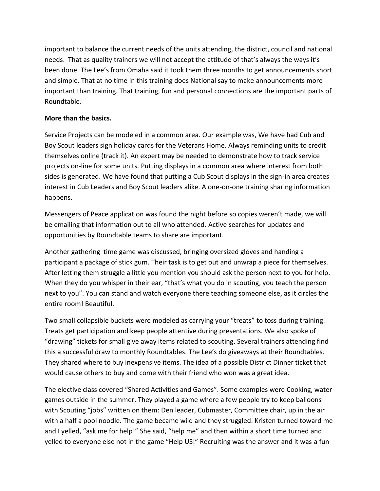important to balance the current needs of the units attending, the district, council and national needs. That as quality trainers we will not accept the attitude of that's always the ways it's been done. The Lee's from Omaha said it took them three months to get announcements short and simple. That at no time in this training does National say to make announcements more important than training. That training, fun and personal connections are the important parts of Roundtable.

#### **More than the basics.**

Service Projects can be modeled in a common area. Our example was, We have had Cub and Boy Scout leaders sign holiday cards for the Veterans Home. Always reminding units to credit themselves online (track it). An expert may be needed to demonstrate how to track service projects on-line for some units. Putting displays in a common area where interest from both sides is generated. We have found that putting a Cub Scout displays in the sign-in area creates interest in Cub Leaders and Boy Scout leaders alike. A one-on-one training sharing information happens.

Messengers of Peace application was found the night before so copies weren't made, we will be emailing that information out to all who attended. Active searches for updates and opportunities by Roundtable teams to share are important.

Another gathering time game was discussed, bringing oversized gloves and handing a participant a package of stick gum. Their task is to get out and unwrap a piece for themselves. After letting them struggle a little you mention you should ask the person next to you for help. When they do you whisper in their ear, "that's what you do in scouting, you teach the person next to you". You can stand and watch everyone there teaching someone else, as it circles the entire room! Beautiful.

Two small collapsible buckets were modeled as carrying your "treats" to toss during training. Treats get participation and keep people attentive during presentations. We also spoke of "drawing" tickets for small give away items related to scouting. Several trainers attending find this a successful draw to monthly Roundtables. The Lee's do giveaways at their Roundtables. They shared where to buy inexpensive items. The idea of a possible District Dinner ticket that would cause others to buy and come with their friend who won was a great idea.

The elective class covered "Shared Activities and Games". Some examples were Cooking, water games outside in the summer. They played a game where a few people try to keep balloons with Scouting "jobs" written on them: Den leader, Cubmaster, Committee chair, up in the air with a half a pool noodle. The game became wild and they struggled. Kristen turned toward me and I yelled, "ask me for help!" She said, "help me" and then within a short time turned and yelled to everyone else not in the game "Help US!" Recruiting was the answer and it was a fun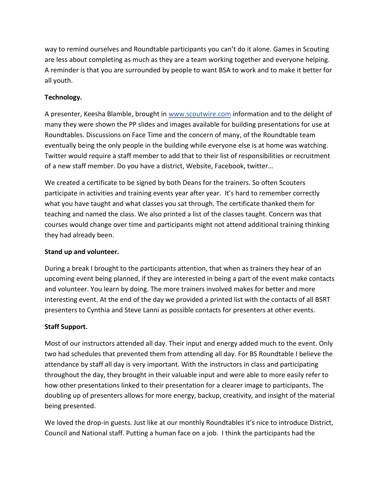way to remind ourselves and Roundtable participants you can't do it alone. Games in Scouting are less about completing as much as they are a team working together and everyone helping. A reminder is that you are surrounded by people to want BSA to work and to make it better for all youth.

#### **Technology.**

A presenter, Keesha Blamble, brought in [www.scoutwire.com](http://www.scoutwire.com/) information and to the delight of many they were shown the PP slides and images available for building presentations for use at Roundtables. Discussions on Face Time and the concern of many, of the Roundtable team eventually being the only people in the building while everyone else is at home was watching. Twitter would require a staff member to add that to their list of responsibilities or recruitment of a new staff member. Do you have a district, Website, Facebook, twitter…

We created a certificate to be signed by both Deans for the trainers. So often Scouters participate in activities and training events year after year. It's hard to remember correctly what you have taught and what classes you sat through. The certificate thanked them for teaching and named the class. We also printed a list of the classes taught. Concern was that courses would change over time and participants might not attend additional training thinking they had already been.

#### **Stand up and volunteer.**

During a break I brought to the participants attention, that when as trainers they hear of an upcoming event being planned, if they are interested in being a part of the event make contacts and volunteer. You learn by doing. The more trainers involved makes for better and more interesting event. At the end of the day we provided a printed list with the contacts of all BSRT presenters to Cynthia and Steve Lanni as possible contacts for presenters at other events.

#### **Staff Support.**

Most of our instructors attended all day. Their input and energy added much to the event. Only two had schedules that prevented them from attending all day. For BS Roundtable I believe the attendance by staff all day is very important. With the instructors in class and participating throughout the day, they brought in their valuable input and were able to more easily refer to how other presentations linked to their presentation for a clearer image to participants. The doubling up of presenters allows for more energy, backup, creativity, and insight of the material being presented.

We loved the drop-in guests. Just like at our monthly Roundtables it's nice to introduce District, Council and National staff. Putting a human face on a job. I think the participants had the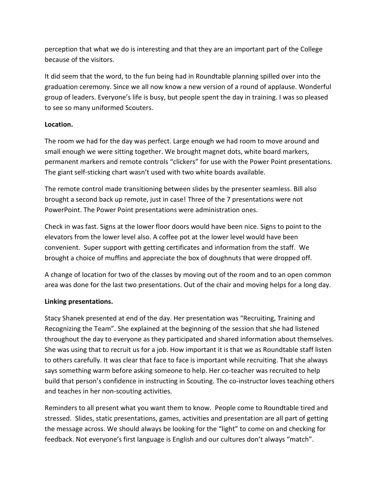perception that what we do is interesting and that they are an important part of the College because of the visitors.

It did seem that the word, to the fun being had in Roundtable planning spilled over into the graduation ceremony. Since we all now know a new version of a round of applause. Wonderful group of leaders. Everyone's life is busy, but people spent the day in training. I was so pleased to see so many uniformed Scouters.

#### **Location.**

The room we had for the day was perfect. Large enough we had room to move around and small enough we were sitting together. We brought magnet dots, white board markers, permanent markers and remote controls "clickers" for use with the Power Point presentations. The giant self-sticking chart wasn't used with two white boards available.

The remote control made transitioning between slides by the presenter seamless. Bill also brought a second back up remote, just in case! Three of the 7 presentations were not PowerPoint. The Power Point presentations were administration ones.

Check in was fast. Signs at the lower floor doors would have been nice. Signs to point to the elevators from the lower level also. A coffee pot at the lower level would have been convenient. Super support with getting certificates and information from the staff. We brought a choice of muffins and appreciate the box of doughnuts that were dropped off.

A change of location for two of the classes by moving out of the room and to an open common area was done for the last two presentations. Out of the chair and moving helps for a long day.

#### **Linking presentations.**

Stacy Shanek presented at end of the day. Her presentation was "Recruiting, Training and Recognizing the Team". She explained at the beginning of the session that she had listened throughout the day to everyone as they participated and shared information about themselves. She was using that to recruit us for a job. How important it is that we as Roundtable staff listen to others carefully. It was clear that face to face is important while recruiting. That she always says something warm before asking someone to help. Her co-teacher was recruited to help build that person's confidence in instructing in Scouting. The co-instructor loves teaching others and teaches in her non-scouting activities.

Reminders to all present what you want them to know. People come to Roundtable tired and stressed. Slides, static presentations, games, activities and presentation are all part of getting the message across. We should always be looking for the "light" to come on and checking for feedback. Not everyone's first language is English and our cultures don't always "match".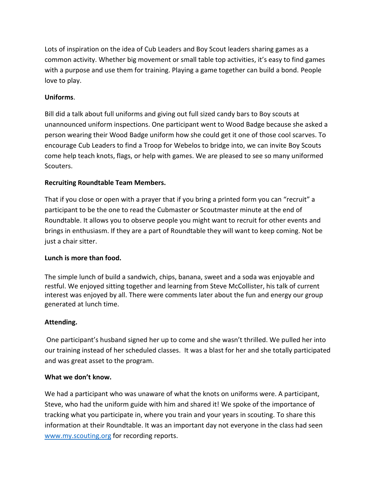Lots of inspiration on the idea of Cub Leaders and Boy Scout leaders sharing games as a common activity. Whether big movement or small table top activities, it's easy to find games with a purpose and use them for training. Playing a game together can build a bond. People love to play.

#### **Uniforms**.

Bill did a talk about full uniforms and giving out full sized candy bars to Boy scouts at unannounced uniform inspections. One participant went to Wood Badge because she asked a person wearing their Wood Badge uniform how she could get it one of those cool scarves. To encourage Cub Leaders to find a Troop for Webelos to bridge into, we can invite Boy Scouts come help teach knots, flags, or help with games. We are pleased to see so many uniformed Scouters.

#### **Recruiting Roundtable Team Members.**

That if you close or open with a prayer that if you bring a printed form you can "recruit" a participant to be the one to read the Cubmaster or Scoutmaster minute at the end of Roundtable. It allows you to observe people you might want to recruit for other events and brings in enthusiasm. If they are a part of Roundtable they will want to keep coming. Not be just a chair sitter.

#### **Lunch is more than food.**

The simple lunch of build a sandwich, chips, banana, sweet and a soda was enjoyable and restful. We enjoyed sitting together and learning from Steve McCollister, his talk of current interest was enjoyed by all. There were comments later about the fun and energy our group generated at lunch time.

#### **Attending.**

One participant's husband signed her up to come and she wasn't thrilled. We pulled her into our training instead of her scheduled classes. It was a blast for her and she totally participated and was great asset to the program.

#### **What we don't know.**

We had a participant who was unaware of what the knots on uniforms were. A participant, Steve, who had the uniform guide with him and shared it! We spoke of the importance of tracking what you participate in, where you train and your years in scouting. To share this information at their Roundtable. It was an important day not everyone in the class had seen [www.my.scouting.org](http://www.my.scouting.org/) for recording reports.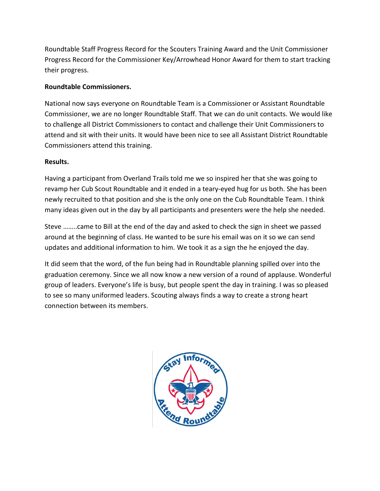Roundtable Staff Progress Record for the Scouters Training Award and the Unit Commissioner Progress Record for the Commissioner Key/Arrowhead Honor Award for them to start tracking their progress.

#### **Roundtable Commissioners.**

National now says everyone on Roundtable Team is a Commissioner or Assistant Roundtable Commissioner, we are no longer Roundtable Staff. That we can do unit contacts. We would like to challenge all District Commissioners to contact and challenge their Unit Commissioners to attend and sit with their units. It would have been nice to see all Assistant District Roundtable Commissioners attend this training.

#### **Results.**

Having a participant from Overland Trails told me we so inspired her that she was going to revamp her Cub Scout Roundtable and it ended in a teary-eyed hug for us both. She has been newly recruited to that position and she is the only one on the Cub Roundtable Team. I think many ideas given out in the day by all participants and presenters were the help she needed.

Steve ……..came to Bill at the end of the day and asked to check the sign in sheet we passed around at the beginning of class. He wanted to be sure his email was on it so we can send updates and additional information to him. We took it as a sign the he enjoyed the day.

It did seem that the word, of the fun being had in Roundtable planning spilled over into the graduation ceremony. Since we all now know a new version of a round of applause. Wonderful group of leaders. Everyone's life is busy, but people spent the day in training. I was so pleased to see so many uniformed leaders. Scouting always finds a way to create a strong heart connection between its members.

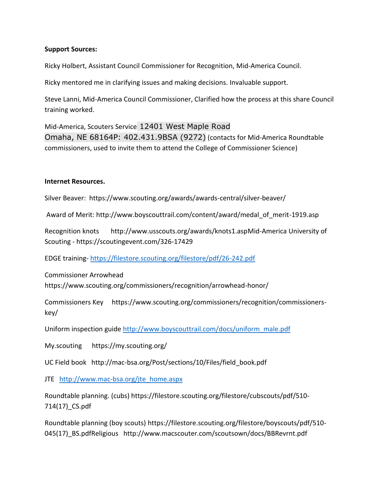#### **Support Sources:**

Ricky Holbert, Assistant Council Commissioner for Recognition, Mid-America Council.

Ricky mentored me in clarifying issues and making decisions. Invaluable support.

Steve Lanni, Mid-America Council Commissioner, Clarified how the process at this share Council training worked.

Mid-America, Scouters Service 12401 West Maple Road Omaha, NE 68164P: 402.431.9BSA (9272) (contacts for Mid-America Roundtable commissioners, used to invite them to attend the College of Commissioner Science)

#### **Internet Resources.**

Silver Beaver: https://www.scouting.org/awards/awards-central/silver-beaver/

Award of Merit: http://www.boyscouttrail.com/content/award/medal\_of\_merit-1919.asp

Recognition knots http://www.usscouts.org/awards/knots1.aspMid-America University of Scouting - https://scoutingevent.com/326-17429

EDGE training- <https://filestore.scouting.org/filestore/pdf/26-242.pdf>

Commissioner Arrowhead https://www.scouting.org/commissioners/recognition/arrowhead-honor/

Commissioners Key https://www.scouting.org/commissioners/recognition/commissionerskey/

Uniform inspection guide [http://www.boyscouttrail.com/docs/uniform\\_male.pdf](http://www.boyscouttrail.com/docs/uniform_male.pdf)

My.scouting https://my.scouting.org/

UC Field book http://mac-bsa.org/Post/sections/10/Files/field\_book.pdf

JTE [http://www.mac-bsa.org/jte\\_home.aspx](http://www.mac-bsa.org/jte_home.aspx)

Roundtable planning. (cubs) https://filestore.scouting.org/filestore/cubscouts/pdf/510- 714(17)\_CS.pdf

Roundtable planning (boy scouts) https://filestore.scouting.org/filestore/boyscouts/pdf/510- 045(17) BS.pdfReligious http://www.macscouter.com/scoutsown/docs/BBRevrnt.pdf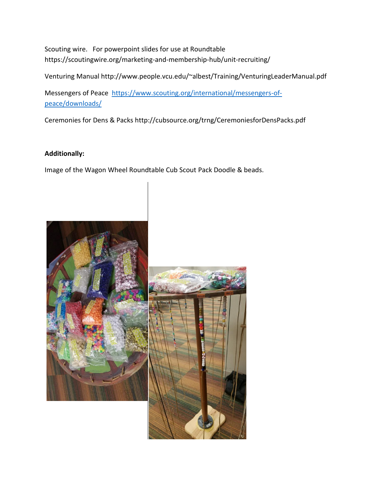Scouting wire. For powerpoint slides for use at Roundtable https://scoutingwire.org/marketing-and-membership-hub/unit-recruiting/

Venturing Manual http://www.people.vcu.edu/~albest/Training/VenturingLeaderManual.pdf

Messengers of Peace [https://www.scouting.org/international/messengers-of](https://www.scouting.org/international/messengers-of-peace/downloads/)[peace/downloads/](https://www.scouting.org/international/messengers-of-peace/downloads/)

Ceremonies for Dens & Packs http://cubsource.org/trng/CeremoniesforDensPacks.pdf

#### **Additionally:**

Image of the Wagon Wheel Roundtable Cub Scout Pack Doodle & beads.